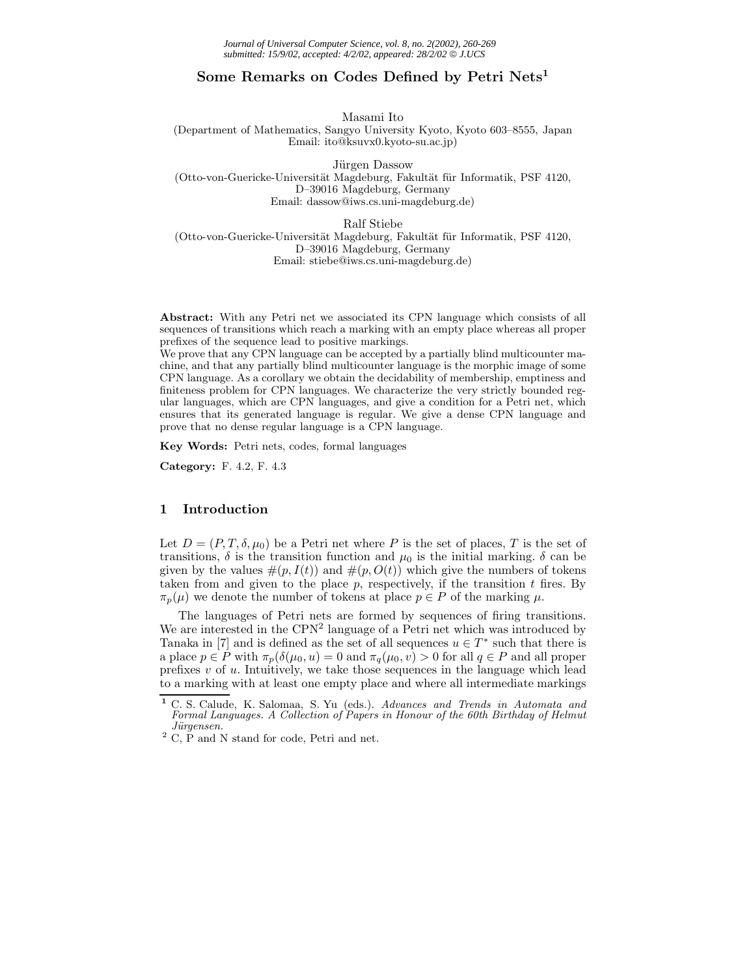# **Some Remarks on Codes Defined by Petri Nets<sup>1</sup>**

Masami Ito

(Department of Mathematics, Sangyo University Kyoto, Kyoto 603–8555, Japan Email: ito@ksuvx0.kyoto-su.ac.jp)

Jürgen Dassow (Otto-von-Guericke-Universität Magdeburg, Fakultät für Informatik, PSF 4120, D–39016 Magdeburg, Germany Email: dassow@iws.cs.uni-magdeburg.de)

Ralf Stiebe (Otto-von-Guericke-Universität Magdeburg, Fakultät für Informatik, PSF 4120, D–39016 Magdeburg, Germany Email: stiebe@iws.cs.uni-magdeburg.de)

**Abstract:** With any Petri net we associated its CPN language which consists of all sequences of transitions which reach a marking with an empty place whereas all proper prefixes of the sequence lead to positive markings.

We prove that any CPN language can be accepted by a partially blind multicounter machine, and that any partially blind multicounter language is the morphic image of some CPN language. As a corollary we obtain the decidability of membership, emptiness and finiteness problem for CPN languages. We characterize the very strictly bounded regular languages, which are CPN languages, and give a condition for a Petri net, which ensures that its generated language is regular. We give a dense CPN language and prove that no dense regular language is a CPN language.

Key Words: Petri nets, codes, formal languages

**Category:** F. 4.2, F. 4.3

### **1 Introduction**

Let  $D = (P, T, \delta, \mu_0)$  be a Petri net where P is the set of places, T is the set of transitions,  $\delta$  is the transition function and  $\mu_0$  is the initial marking.  $\delta$  can be given by the values  $\#(p, I(t))$  and  $\#(p, O(t))$  which give the numbers of tokens taken from and given to the place  $p$ , respectively, if the transition  $t$  fires. By  $\pi_p(\mu)$  we denote the number of tokens at place  $p \in P$  of the marking  $\mu$ .

The languages of Petri nets are formed by sequences of firing transitions. We are interested in the  $CPN<sup>2</sup>$  language of a Petri net which was introduced by Tanaka in [7] and is defined as the set of all sequences  $u \in T^*$  such that there is a place  $p \in P$  with  $\pi_p(\delta(\mu_0, u) = 0$  and  $\pi_q(\mu_0, v) > 0$  for all  $q \in P$  and all proper prefixes  $v$  of  $u$ . Intuitively, we take those sequences in the language which lead to a marking with at least one empty place andwhere all intermediate markings

**<sup>1</sup>** C. S. Calude, K. Salomaa, S. Yu (eds.). *Advances and Trends in Automata and Formal Languages. A Collection of Papers in Honour of the 60th Birthday of Helmut J¨urgensen.*

 $2$  C,  $\tilde{P}$  and N stand for code, Petri and net.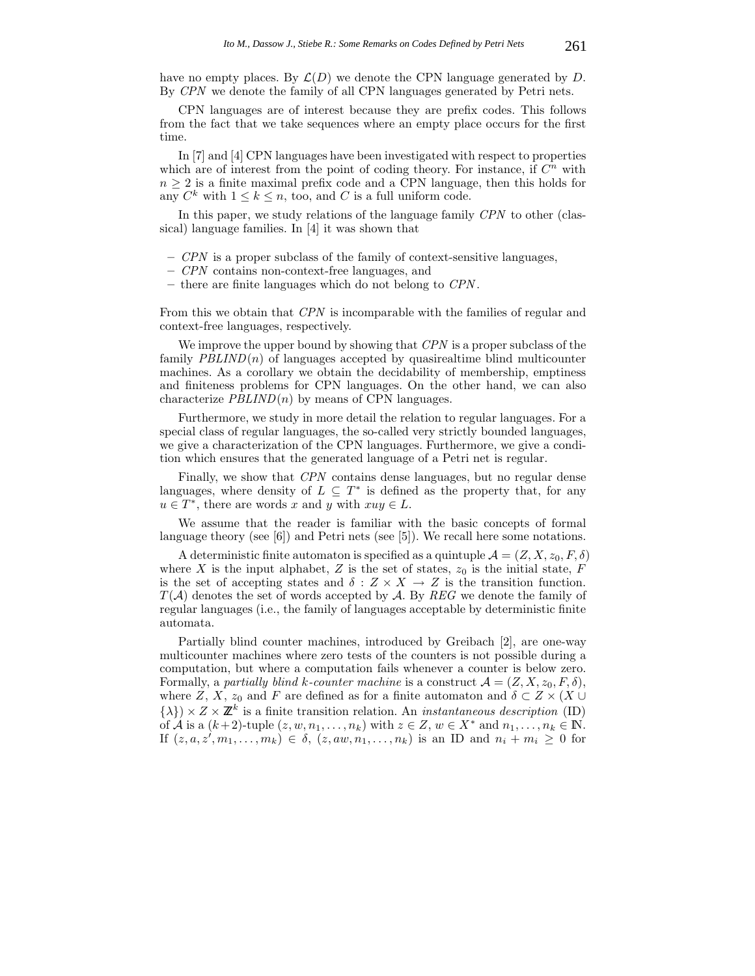have no empty places. By  $\mathcal{L}(D)$  we denote the CPN language generated by D. By *CPN* we denote the family of all CPN languages generated by Petri nets.

CPN languages are of interest because they are prefix codes. This follows from the fact that we take sequences where an empty place occurs for the first time.

In [7] and [4] CPN languages have been investigated with respect to properties which are of interest from the point of coding theory. For instance, if  $C<sup>n</sup>$  with  $n \geq 2$  is a finite maximal prefix code and a CPN language, then this holds for any  $C^k$  with  $1 \leq k \leq n$ , too, and C is a full uniform code.

In this paper, we study relations of the language family *CPN* to other (classical) language families. In [4] it was shown that

- **–** *CPN* is a proper subclass of the family of context-sensitive languages,
- **–** *CPN* contains non-context-free languages, and
- **–** there are finite languages which do not belong to *CPN* .

From this we obtain that *CPN* is incomparable with the families of regular and context-free languages, respectively.

We improve the upper bound by showing that *CPN* is a proper subclass of the family  $PBLIND(n)$  of languages accepted by quasirealtime blind multicounter machines. As a corollary we obtain the decidability of membership, emptiness and finiteness problems for CPN languages. On the other hand, we can also characterize  $PBLIND(n)$  by means of CPN languages.

Furthermore, we study in more detail the relation to regular languages. For a special class of regular languages, the so-called very strictly bounded languages, we give a characterization of the CPN languages. Furthermore, we give a condition which ensures that the generated language of a Petri net is regular.

Finally, we show that *CPN* contains dense languages, but no regular dense languages, where density of  $L \subseteq T^*$  is defined as the property that, for any  $u \in T^*$ , there are words x and y with  $xuy \in L$ .

We assume that the reader is familiar with the basic concepts of formal language theory (see  $[6]$ ) and Petri nets (see  $[5]$ ). We recall here some notations.

A deterministic finite automaton is specified as a quintuple  $\mathcal{A} = (Z, X, z_0, F, \delta)$ where X is the input alphabet, Z is the set of states,  $z_0$  is the initial state, F is the set of accepting states and  $\delta : Z \times X \to Z$  is the transition function.  $T(A)$  denotes the set of words accepted by A. By REG we denote the family of regular languages (i.e., the family of languages acceptable by deterministic finite automata.

Partially blind counter machines, introduced by Greibach [2], are one-way multicounter machines where zero tests of the counters is not possible during a computation, but where a computation fails whenever a counter is below zero. Formally, a *partially blind k-counter machine* is a construct  $\mathcal{A} = (Z, X, z_0, F, \delta)$ , where Z, X,  $z_0$  and F are defined as for a finite automaton and  $\delta \subset Z \times (X \cup$  $\{\lambda\} \times Z \times \mathbb{Z}^k$  is a finite transition relation. An *instantaneous description* (ID) of  $\mathcal A$  is a  $(k+2)$ -tuple  $(z, w, n_1,\ldots,n_k)$  with  $z \in Z, w \in X^*$  and  $n_1,\ldots,n_k \in \mathbb N$ . If  $(z, a, z', m_1, \ldots, m_k) \in \delta$ ,  $(z, aw, n_1, \ldots, n_k)$  is an ID and  $n_i + m_i \geq 0$  for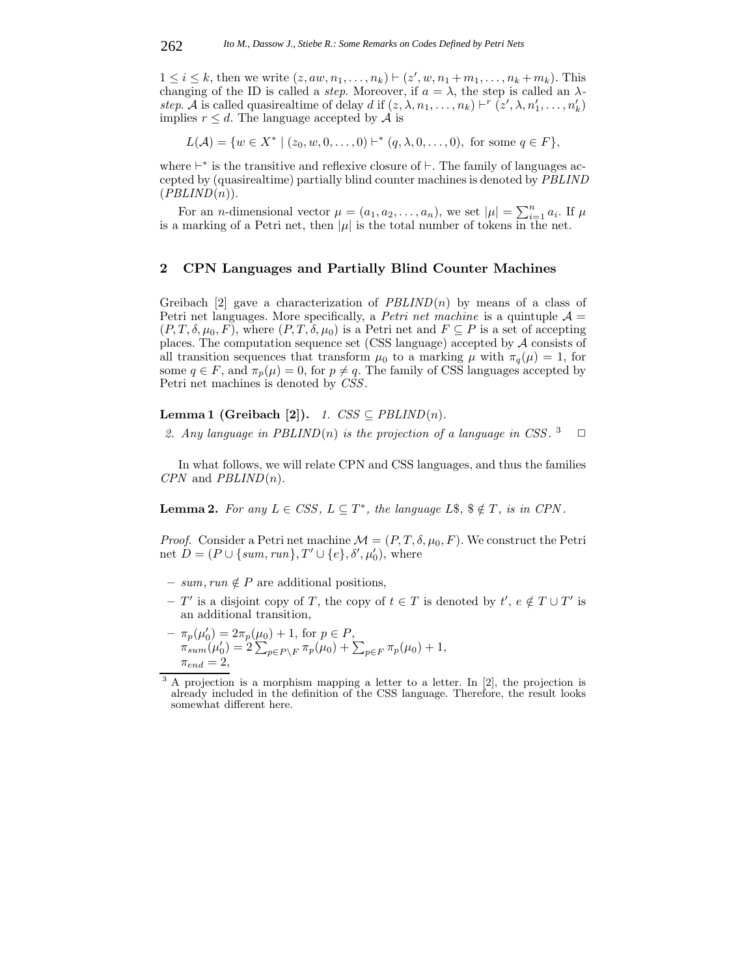$1 \leq i \leq k$ , then we write  $(z, aw, n_1, \ldots, n_k) \vdash (z', w, n_1 + m_1, \ldots, n_k + m_k)$ . This changing of the ID is called a *step*. Moreover, if  $a = \lambda$ , the step is called an  $\lambda$ *step.* A is called quasirealtime of delay d if  $(z, \lambda, n_1, \ldots, n_k) \vdash^{r} (z', \lambda, n'_1, \ldots, n'_k)$ implies  $r \leq d$ . The language accepted by A is

 $L(\mathcal{A}) = \{w \in X^* \mid (z_0, w, 0, \ldots, 0) \vdash^* (q, \lambda, 0, \ldots, 0), \text{ for some } q \in F\},\$ 

where  $\vdash^*$  is the transitive and reflexive closure of  $\vdash$ . The family of languages accepted by (quasirealtime) partially blind counter machines is denoted by *PBLIND*  $(PBLIND(n)).$ 

For an *n*-dimensional vector  $\mu = (a_1, a_2, \ldots, a_n)$ , we set  $|\mu| = \sum_{i=1}^n a_i$ . If  $\mu$ is a marking of a Petri net, then  $|\mu|$  is the total number of tokens in the net.

### **2 CPN Languages and Partially Blind Counter Machines**

Greibach  $[2]$  gave a characterization of  $PBLIND(n)$  by means of a class of Petri net languages. More specifically, a *Petri net machine* is a quintuple  $A =$  $(P, T, \delta, \mu_0, F)$ , where  $(P, T, \delta, \mu_0)$  is a Petri net and  $F \subseteq P$  is a set of accepting places. The computation sequence set (CSS language) accepted by  $A$  consists of all transition sequences that transform  $\mu_0$  to a marking  $\mu$  with  $\pi_q(\mu) = 1$ , for some  $q \in F$ , and  $\pi_p(\mu) = 0$ , for  $p \neq q$ . The family of CSS languages accepted by Petri net machines is denoted by *CSS*.

**Lemma 1 (Greibach [2]).** *1. CSS*  $\subset$  *PBLIND* $(n)$ *.* 

2. Any language in PBLIND(n) is the projection of a language in CSS. <sup>3</sup>  $\Box$ 

In what follows, we will relate CPN and CSS languages, and thus the families *CPN* and *PBLIND*(n).

**Lemma 2.** *For any*  $L \in CSS, L \subseteq T^*$ , *the language*  $L\$ *,*  $\oint \oint T$ *, is in CPN*.

*Proof.* Consider a Petri net machine  $\mathcal{M} = (P, T, \delta, \mu_0, F)$ . We construct the Petri net  $D = (P \cup \{sum, run\}, T' \cup \{e\}, \delta', \mu'_0),$  where

- $sum, run \notin P$  are additional positions,
- $T'$  is a disjoint copy of T, the copy of  $t \in T$  is denoted by  $t', e \notin T \cup T'$  is an additional transition,
- $\pi_p(\mu_0') = 2\pi_p(\mu_0) + 1$ , for  $p \in P$ ,  $\pi_{sum}(\mu'_0) = 2 \sum_{p \in P \backslash F} \pi_p(\mu_0) + \sum_{p \in F} \pi_p(\mu_0) + 1,$  $\pi_{end} = 2$

<sup>&</sup>lt;sup>3</sup> A projection is a morphism mapping a letter to a letter. In [2], the projection is already included in the definition of the CSS language. Therefore, the result looks somewhat different here.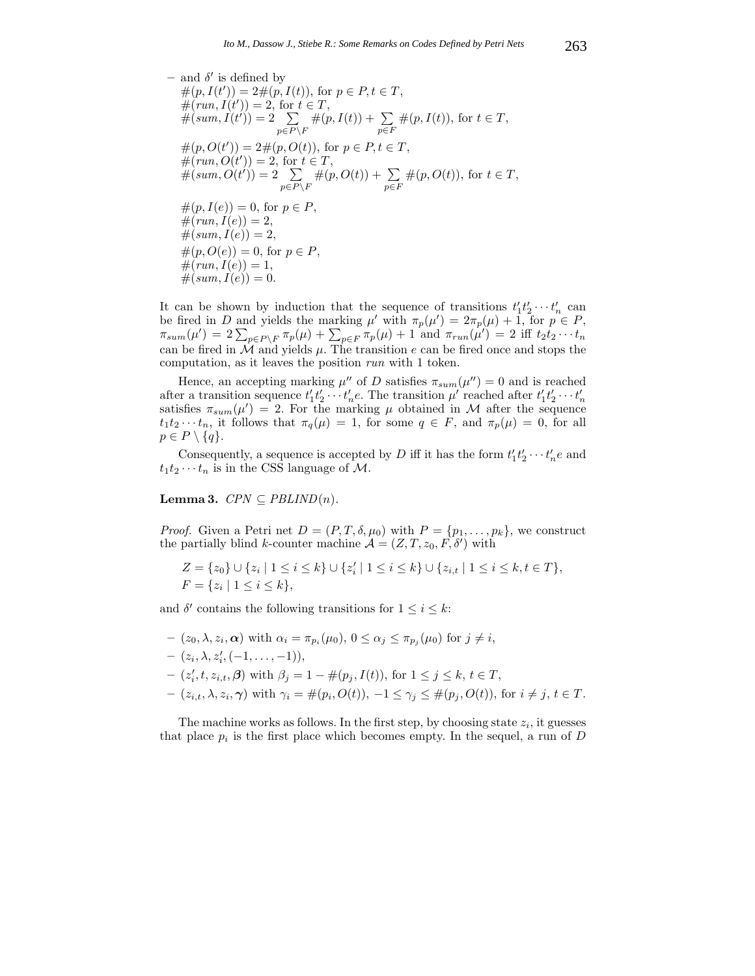- and 
$$
\delta'
$$
 is defined by  
\n $\#(p, I(t')) = 2\#(p, I(t)),$  for  $p \in P, t \in T$ ,  
\n $\#(run, I(t')) = 2$ , for  $t \in T$ ,  
\n $\#(sum, I(t')) = 2 \sum_{p \in P \setminus F} \#(p, I(t)) + \sum_{p \in F} \#(p, I(t)),$  for  $t \in T$ ,  
\n $\#(p, O(t')) = 2\#(p, O(t)),$  for  $p \in P, t \in T$ ,  
\n $\#(run, O(t')) = 2$ , for  $t \in T$ ,  
\n $\#(sum, O(t')) = 2 \sum_{p \in P \setminus F} \#(p, O(t)) + \sum_{p \in F} \#(p, O(t)),$  for  $t \in T$ ,  
\n $\#(p, I(e)) = 0$ , for  $p \in P$ ,  
\n $\#(run, I(e)) = 2$ ,  
\n $\#(sum, I(e)) = 0$ , for  $p \in P$ ,  
\n $\#(run, I(e)) = 1$ ,  
\n $\#(sum, I(e)) = 0$ .

It can be shown by induction that the sequence of transitions  $t_1' t_2' \cdots t_n'$  can be fired in D and yields the marking  $\mu'$  with  $\pi_p(\mu') = 2\pi_p(\mu) + 1$ , for  $p \in P$ ,  $\pi_{sum}(\mu') = 2 \sum_{p \in P \setminus F} \pi_p(\mu) + \sum_{p \in F} \pi_p(\mu) + 1$  and  $\pi_{run}(\mu') = 2$  iff  $t_2t_2 \cdots t_n$ can be fired in  $M$  and yields  $\mu$ . The transition e can be fired once and stops the computation, as it leaves the position *run* with 1 token.

Hence, an accepting marking  $\mu''$  of D satisfies  $\pi_{sum}(\mu'')=0$  and is reached after a transition sequence  $t_1' t_2' \cdots t_n' e$ . The transition  $\mu'$  reached after  $t_1' t_2' \cdots t_n'$ satisfies  $\pi_{sum}(\mu') = 2$ . For the marking  $\mu$  obtained in M after the sequence  $t_1t_2 \cdots t_n$ , it follows that  $\pi_q(\mu) = 1$ , for some  $q \in F$ , and  $\pi_p(\mu) = 0$ , for all  $p \in P \setminus \{q\}.$ 

Consequently, a sequence is accepted by D iff it has the form  $t_1't_2' \cdots t_n' e$  and  $t_1t_2\cdots t_n$  is in the CSS language of M.

**Lemma 3.**  $CPN \subseteq PBLIND(n)$ .

*Proof.* Given a Petri net  $D = (P, T, \delta, \mu_0)$  with  $P = \{p_1, \ldots, p_k\}$ , we construct the partially blind k-counter machine  $\mathcal{A} = (Z, T, z_0, F, \delta')$  with

$$
Z = \{z_0\} \cup \{z_i \mid 1 \le i \le k\} \cup \{z'_i \mid 1 \le i \le k\} \cup \{z_{i,t} \mid 1 \le i \le k, t \in T\},\
$$
  

$$
F = \{z_i \mid 1 \le i \le k\},\
$$

and  $\delta'$  contains the following transitions for  $1 \leq i \leq k$ :

 $p = (z_0, \lambda, z_i, \alpha)$  with  $\alpha_i = \pi_{p_i}(\mu_0), 0 \leq \alpha_j \leq \pi_{p_j}(\mu_0)$  for  $j \neq i$ ,  $(z_i, \lambda, z'_i, (-1, \ldots, -1)),$  $- (z'_i, t, z_{i,t}, β)$  with  $β_j = 1 - #(p_j, I(t)),$  for  $1 ≤ j ≤ k, t ∈ T$ ,  $p(z_{i,t}, \lambda, z_i, \gamma)$  with  $\gamma_i = \#(p_i, O(t)), -1 \leq \gamma_j \leq \#(p_j, O(t)),$  for  $i \neq j, t \in T$ .

The machine works as follows. In the first step, by choosing state  $z_i$ , it guesses that place  $p_i$  is the first place which becomes empty. In the sequel, a run of D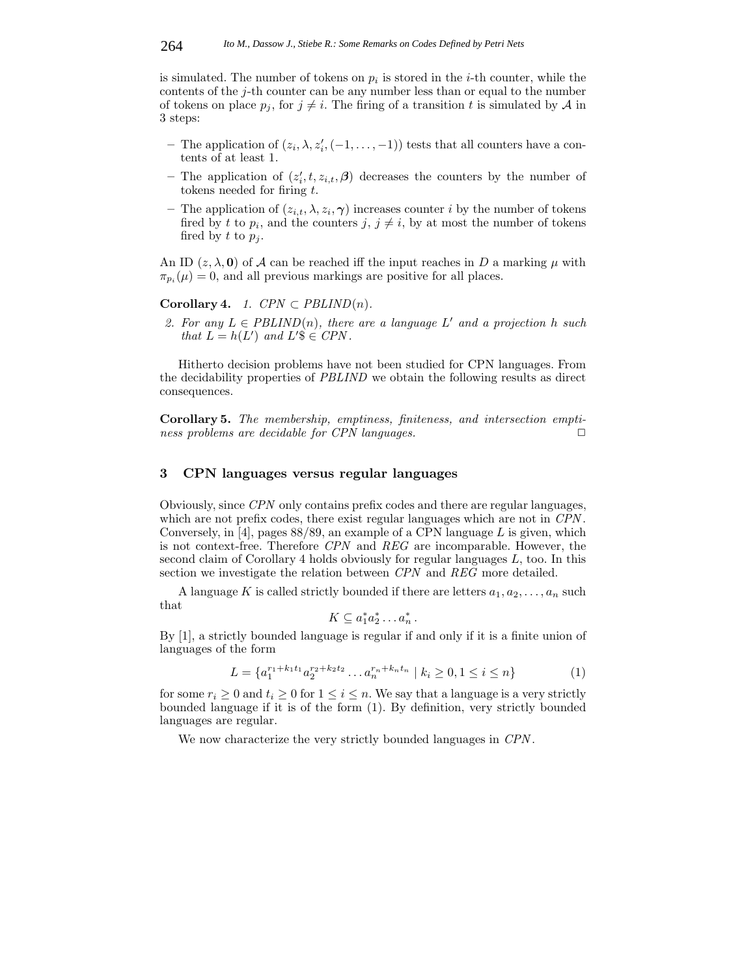is simulated. The number of tokens on  $p_i$  is stored in the *i*-th counter, while the contents of the j-th counter can be any number less than or equal to the number of tokens on place  $p_j$ , for  $j \neq i$ . The firing of a transition t is simulated by A in 3 steps:

- $-$  The application of  $(z_i, \lambda, z'_i, (-1, \ldots, -1))$  tests that all counters have a contents of at least 1.
- $-$  The application of  $(z'_i, t, z_{i,t}, \beta)$  decreases the counters by the number of tokens needed for firing t.
- **–** The application of  $(z_{i,t}, \lambda, z_i, \gamma)$  increases counter i by the number of tokens fired by t to  $p_i$ , and the counters  $j, j \neq i$ , by at most the number of tokens fired by t to  $p_j$ .

An ID  $(z, \lambda, 0)$  of A can be reached iff the input reaches in D a marking  $\mu$  with  $\pi_{p_i}(\mu) = 0$ , and all previous markings are positive for all places.

**Corollary 4.** *1.*  $CPN \subset \text{PBLIND}(n)$ *.* 

2. For any  $L \in \text{PBLIND}(n)$ , there are a language  $L'$  and a projection h such *that*  $L = h(L')$  *and*  $L'$ \$  $\in$  *CPN*.

Hitherto decision problems have not been studied for CPN languages. From the decidability properties of *PBLIND* we obtain the following results as direct consequences.

**Corollary 5.** *The membership, emptiness, finiteness, and intersection emptiness problems are decidable for CPN languages.* **□** 

## **3 CPN languages versus regular languages**

Obviously, since *CPN* only contains prefix codes and there are regular languages, which are not prefix codes, there exist regular languages which are not in *CPN* . Conversely, in [4], pages  $88/89$ , an example of a CPN language L is given, which is not context-free. Therefore *CPN* and *REG* are incomparable. However, the second claim of Corollary 4 holds obviously for regular languages  $L$ , too. In this section we investigate the relation between *CPN* and *REG* more detailed.

A language K is called strictly bounded if there are letters  $a_1, a_2, \ldots, a_n$  such that

$$
K\subseteq a_1^*a_2^*\ldots a_n^*.
$$

By [1], a strictly bounded language is regular if and only if it is a finite union of languages of the form

$$
L = \{a_1^{r_1 + k_1 t_1} a_2^{r_2 + k_2 t_2} \dots a_n^{r_n + k_n t_n} \mid k_i \ge 0, 1 \le i \le n\}
$$
 (1)

for some  $r_i \geq 0$  and  $t_i \geq 0$  for  $1 \leq i \leq n$ . We say that a language is a very strictly bounded language if it is of the form (1). By definition, very strictly bounded languages are regular.

We now characterize the very strictly bounded languages in *CPN* .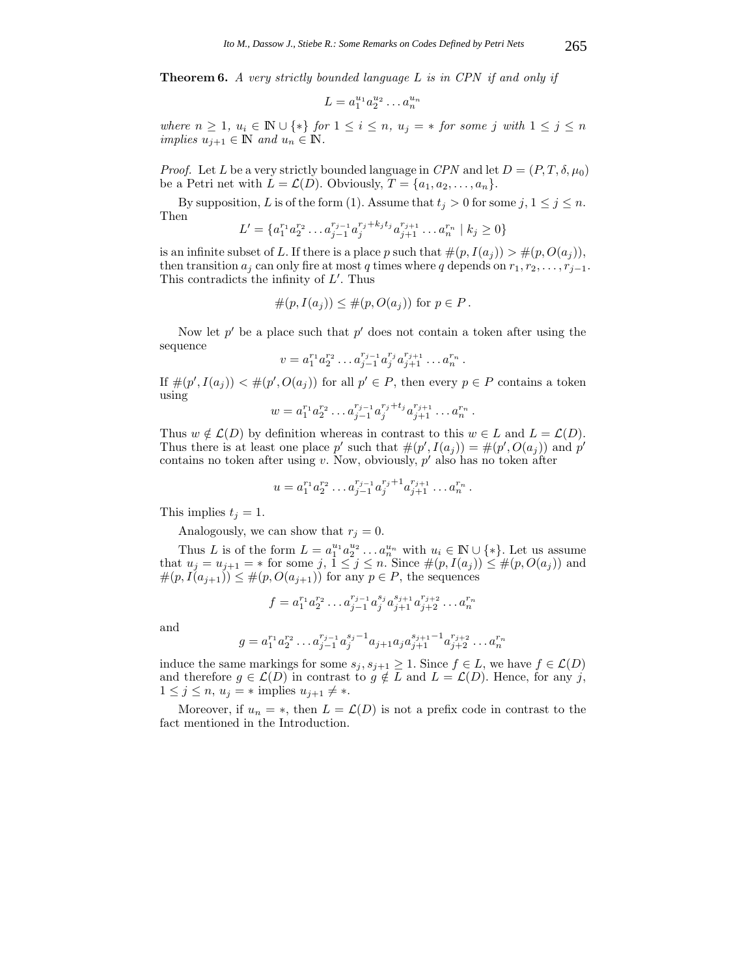**Theorem 6.** *A very strictly bounded language* L *is in CPN if and only if*

$$
L = a_1^{u_1} a_2^{u_2} \dots a_n^{u_n}
$$

*where*  $n \geq 1$ *,*  $u_i \in \mathbb{N} \cup \{*\}$  *for*  $1 \leq i \leq n$ *,*  $u_j = *$  *for some j with*  $1 \leq j \leq n$ *implies*  $u_{j+1} \in \mathbb{N}$  *and*  $u_n \in \mathbb{N}$ .

*Proof.* Let L be a very strictly bounded language in CPN and let  $D = (P, T, \delta, \mu_0)$ be a Petri net with  $L = \mathcal{L}(D)$ . Obviously,  $T = \{a_1, a_2, \ldots, a_n\}$ .

By supposition, L is of the form (1). Assume that  $t_j > 0$  for some  $j, 1 \le j \le n$ . Then

$$
L' = \{a_1^{r_1} a_2^{r_2} \dots a_{j-1}^{r_{j-1}} a_j^{r_j + k_j t_j} a_{j+1}^{r_{j+1}} \dots a_n^{r_n} \mid k_j \ge 0\}
$$

is an infinite subset of L. If there is a place p such that  $\#(p, I(a_i)) > \#(p, O(a_i)),$ then transition  $a_j$  can only fire at most q times where q depends on  $r_1, r_2, \ldots, r_{j-1}$ . This contradicts the infinity of  $L'$ . Thus

$$
\#(p, I(a_j)) \leq \#(p, O(a_j))
$$
 for  $p \in P$ .

Now let  $p'$  be a place such that  $p'$  does not contain a token after using the sequence

$$
v = a_1^{r_1} a_2^{r_2} \dots a_{j-1}^{r_{j-1}} a_j^{r_j} a_{j+1}^{r_{j+1}} \dots a_n^{r_n}.
$$

If  $\#(p', I(a_j)) < \#(p', O(a_j))$  for all  $p' \in P$ , then every  $p \in P$  contains a token using

$$
w = a_1^{r_1} a_2^{r_2} \dots a_{j-1}^{r_{j-1}} a_j^{r_j + t_j} a_{j+1}^{r_{j+1}} \dots a_n^{r_n}.
$$

Thus  $w \notin \mathcal{L}(D)$  by definition whereas in contrast to this  $w \in L$  and  $L = \mathcal{L}(D)$ . Thus there is at least one place p' such that  $\#(p', I(a_j)) = \#(p', O(a_j))$  and p' contains no token after using  $v$ . Now, obviously,  $p'$  also has no token after

$$
u = a_1^{r_1} a_2^{r_2} \dots a_{j-1}^{r_{j-1}} a_j^{r_j+1} a_{j+1}^{r_{j+1}} \dots a_n^{r_n}.
$$

This implies  $t_i = 1$ .

Analogously, we can show that  $r_j = 0$ .

Thus L is of the form  $L = a_1^{u_1} a_2^{u_2} \dots a_n^{u_n}$  with  $u_i \in \mathbb{N} \cup \{*\}$ . Let us assume that  $u_j = u_{j+1} = *$  for some  $j, 1 \leq j \leq n$ . Since  $\#(p, I(a_j)) \leq \#(p, O(a_j))$  and  $\#(p, I(a_{j+1})) \leq \#(p, O(a_{j+1}))$  for any  $p \in P$ , the sequences

$$
f = a_1^{r_1} a_2^{r_2} \dots a_{j-1}^{r_{j-1}} a_j^{s_j} a_{j+1}^{s_{j+1}} a_{j+2}^{r_{j+2}} \dots a_n^{r_n}
$$

and

$$
g = a_1^{r_1} a_2^{r_2} \dots a_{j-1}^{r_{j-1}} a_j^{s_j-1} a_{j+1} a_j a_{j+1}^{s_{j+1}-1} a_{j+2}^{r_{j+2}} \dots a_n^{r_n}
$$

induce the same markings for some  $s_j, s_{j+1} \geq 1$ . Since  $f \in L$ , we have  $f \in \mathcal{L}(D)$ and therefore  $g \in \mathcal{L}(D)$  in contrast to  $g \notin L$  and  $L = \mathcal{L}(D)$ . Hence, for any j,  $1 \leq j \leq n, u_j = \text{whplies } u_{j+1} \neq \text{wh.}$ 

Moreover, if  $u_n = *$ , then  $L = \mathcal{L}(D)$  is not a prefix code in contrast to the fact mentioned in the Introduction.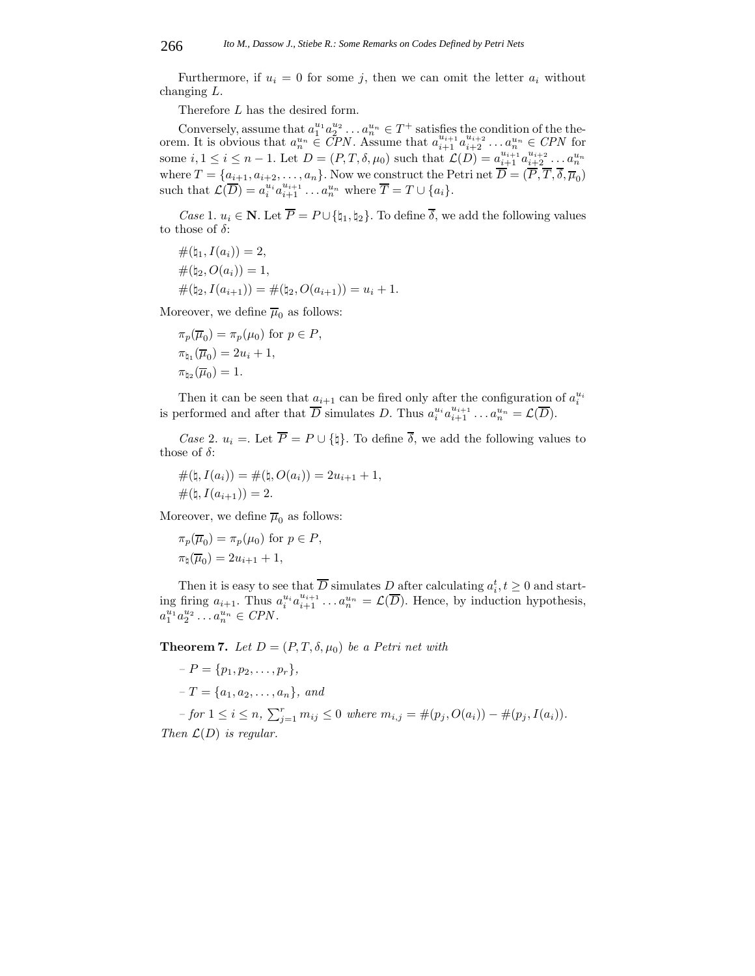Furthermore, if  $u_i = 0$  for some j, then we can omit the letter  $a_i$  without changing L.

Therefore L has the desired form.

Conversely, assume that  $a_1^{u_1}a_2^{u_2}\ldots a_n^{u_n} \in T^+$  satisfies the condition of the theorem. It is obvious that  $a_n^{u_n} \in \mathbb{CP}N$ . Assume that  $a_{i+1}^{u_{i+1}} a_{i+2}^{u_{i+2}} \dots a_n^{u_n} \in \mathbb{CP}N$  for some  $i, 1 \leq i \leq n-1$ . Let  $D = (P, T, \delta, \mu_0)$  such that  $\mathcal{L}(D) = a_{i+1}^{u_{i+1}} a_{i+2}^{u_{i+2}} \dots a_n^{u_n}$ where  $T = \{a_{i+1}, a_{i+2}, \ldots, a_n\}$ . Now we construct the Petri net  $D = (P, T, \delta, \overline{\mu}_0)$ such that  $\mathcal{L}(\overline{D}) = a_i^{u_i} a_{i+1}^{u_{i+1}} \dots a_n^{u_n}$  where  $\overline{T} = T \cup \{a_i\}.$ 

*Case* 1.  $u_i \in \mathbb{N}$ . Let  $\overline{P} = P \cup \{\natural_1, \natural_2\}$ . To define  $\overline{\delta}$ , we add the following values to those of  $\delta$ :

$$
\begin{aligned} &\#(\natural_1, I(a_i)) = 2, \\ &\#(\natural_2, O(a_i)) = 1, \\ &\#(\natural_2, I(a_{i+1})) = \#(\natural_2, O(a_{i+1})) = u_i + 1. \end{aligned}
$$

Moreover, we define  $\overline{\mu}_0$  as follows:

$$
\pi_p(\overline{\mu}_0) = \pi_p(\mu_0) \text{ for } p \in P,
$$
  
\n
$$
\pi_{\mathfrak{h}_1}(\overline{\mu}_0) = 2u_i + 1,
$$
  
\n
$$
\pi_{\mathfrak{h}_2}(\overline{\mu}_0) = 1.
$$

Then it can be seen that  $a_{i+1}$  can be fired only after the configuration of  $a_i^{u_i}$ is performed and after that  $\overline{D}$  simulates D. Thus  $a_i^{u_i} a_{i+1}^{u_{i+1}} \dots a_n^{u_n} = \mathcal{L}(\overline{D})$ .

*Case* 2.  $u_i =$ . Let  $\overline{P} = P \cup \{\dagger\}$ . To define  $\overline{\delta}$ , we add the following values to those of  $\delta$ :

$$
#(\natural, I(a_i)) = #(\natural, O(a_i)) = 2u_{i+1} + 1,
$$
  

$$
#(\natural, I(a_{i+1})) = 2.
$$

Moreover, we define  $\overline{\mu}_0$  as follows:

$$
\pi_p(\overline{\mu}_0) = \pi_p(\mu_0) \text{ for } p \in P,
$$
  

$$
\pi_{\natural}(\overline{\mu}_0) = 2u_{i+1} + 1,
$$

Then it is easy to see that  $\overline{D}$  simulates D after calculating  $a_i^t, t \geq 0$  and starting firing  $a_{i+1}$ . Thus  $a_i^{u_i} a_{i+1}^{u_{i+1}} \dots a_n^{u_n} = \mathcal{L}(\overline{D})$ . Hence, by induction hypothesis,  $a_1^{u_1} a_2^{u_2} \dots a_n^{u_n} \in CPN$ .

**Theorem 7.** Let  $D = (P, T, \delta, \mu_0)$  be a Petri net with

$$
-P = \{p_1,p_2,\ldots,p_r\},\
$$

 $-T = \{a_1, a_2, \ldots, a_n\}, and$ 

 $-$  for  $1 \leq i \leq n$ ,  $\sum_{j=1}^{r} m_{ij} \leq 0$  where  $m_{i,j} = \#(p_j, O(a_i)) - \#(p_j, I(a_i))$ . *Then* L(D) *is regular.*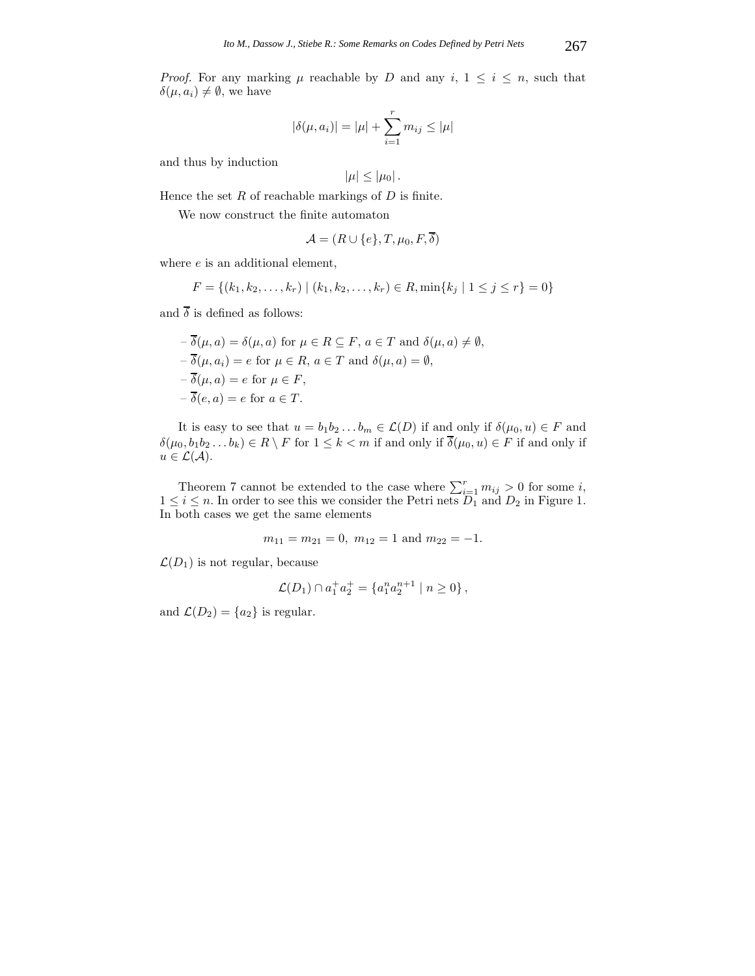*Proof.* For any marking  $\mu$  reachable by D and any  $i, 1 \leq i \leq n$ , such that  $\delta(\mu, a_i) \neq \emptyset$ , we have

$$
|\delta(\mu, a_i)| = |\mu| + \sum_{i=1}^r m_{ij} \le |\mu|
$$

and thus by induction

$$
|\mu|\leq |\mu_0|.
$$

Hence the set  $R$  of reachable markings of  $D$  is finite.

We now construct the finite automaton

$$
\mathcal{A} = (R \cup \{e\}, T, \mu_0, F, \delta)
$$

where  $e$  is an additional element,

$$
F = \{(k_1, k_2, \dots, k_r) \mid (k_1, k_2, \dots, k_r) \in R, \min\{k_j \mid 1 \le j \le r\} = 0\}
$$

and  $\overline{\delta}$  is defined as follows:

$$
-\overline{\delta}(\mu, a) = \delta(\mu, a) \text{ for } \mu \in R \subseteq F, a \in T \text{ and } \delta(\mu, a) \neq \emptyset,
$$
  
\n
$$
-\overline{\delta}(\mu, a_i) = e \text{ for } \mu \in R, a \in T \text{ and } \delta(\mu, a) = \emptyset,
$$
  
\n
$$
-\overline{\delta}(\mu, a) = e \text{ for } \mu \in F,
$$
  
\n
$$
-\overline{\delta}(e, a) = e \text{ for } a \in T.
$$

It is easy to see that  $u = b_1b_2...b_m \in \mathcal{L}(D)$  if and only if  $\delta(\mu_0, u) \in F$  and  $\delta(\mu_0, b_1b_2 \dots b_k) \in R \setminus F$  for  $1 \leq k < m$  if and only if  $\delta(\mu_0, u) \in F$  if and only if  $u \in \mathcal{L}(\mathcal{A}).$ 

Theorem 7 cannot be extended to the case where  $\sum_{i=1}^{r} m_{ij} > 0$  for some *i*,  $1 \leq i \leq n$ . In order to see this we consider the Petri nets  $D_1$  and  $D_2$  in Figure 1. In both cases we get the same elements

$$
m_{11} = m_{21} = 0
$$
,  $m_{12} = 1$  and  $m_{22} = -1$ .

 $\mathcal{L}(D_1)$  is not regular, because

$$
\mathcal{L}(D_1) \cap a_1^+ a_2^+ = \{a_1^n a_2^{n+1} \mid n \ge 0\},\,
$$

and  $\mathcal{L}(D_2) = \{a_2\}$  is regular.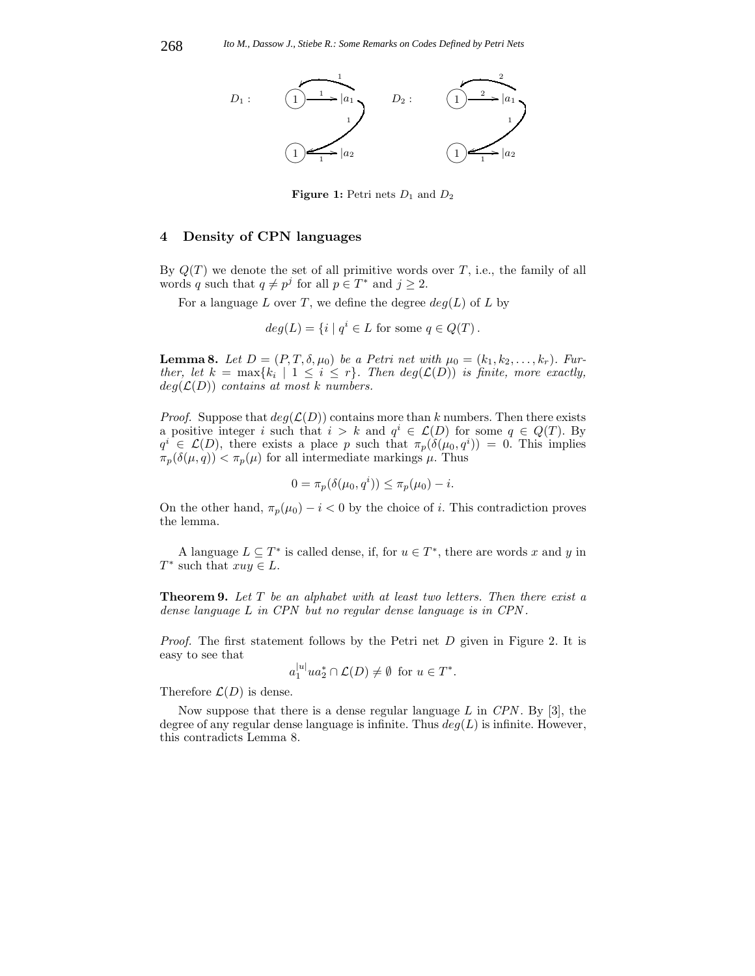

**Figure 1:** Petri nets  $D_1$  and  $D_2$ 

## **4 Density of CPN languages**

By  $Q(T)$  we denote the set of all primitive words over T, i.e., the family of all words q such that  $q \neq p^j$  for all  $p \in T^*$  and  $j \geq 2$ .

For a language L over T, we define the degree  $deg(L)$  of L by

$$
deg(L) = \{ i \mid q^i \in L \text{ for some } q \in Q(T) .
$$

**Lemma 8.** Let  $D = (P, T, \delta, \mu_0)$  be a Petri net with  $\mu_0 = (k_1, k_2, \ldots, k_r)$ . Fur*ther, let*  $k = \max\{k_i \mid 1 \leq i \leq r\}$ . Then  $deg(\mathcal{L}(D))$  is finite, more exactly,  $deg(\mathcal{L}(D))$  *contains at most k numbers.* 

*Proof.* Suppose that  $deg(\mathcal{L}(D))$  contains more than k numbers. Then there exists a positive integer i such that  $i>k$  and  $q^i \in \mathcal{L}(D)$  for some  $q \in Q(T)$ . By  $q^i \in \mathcal{L}(D)$ , there exists a place p such that  $\pi_p(\delta(\mu_0, q^i)) = 0$ . This implies  $\pi_p(\delta(\mu, q)) < \pi_p(\mu)$  for all intermediate markings  $\mu$ . Thus

$$
0 = \pi_p(\delta(\mu_0, q^i)) \le \pi_p(\mu_0) - i.
$$

On the other hand,  $\pi_p(\mu_0) - i < 0$  by the choice of i. This contradiction proves the lemma.

A language  $L \subseteq T^*$  is called dense, if, for  $u \in T^*$ , there are words x and y in  $T^*$  such that  $xuy \in L$ .

**Theorem 9.** *Let* T *be an alphabet with at least two letters. Then there exist a dense language* L *in CPN but no regular dense language is in CPN .*

*Proof.* The first statement follows by the Petri net D given in Figure 2. It is easy to see that

$$
a_1^{|u|}ua_2^* \cap \mathcal{L}(D) \neq \emptyset \text{ for } u \in T^*.
$$

Therefore  $\mathcal{L}(D)$  is dense.

Now suppose that there is a dense regular language  $L$  in  $CPN$ . By [3], the degree of any regular dense language is infinite. Thus  $deg(L)$  is infinite. However, this contradicts Lemma 8.